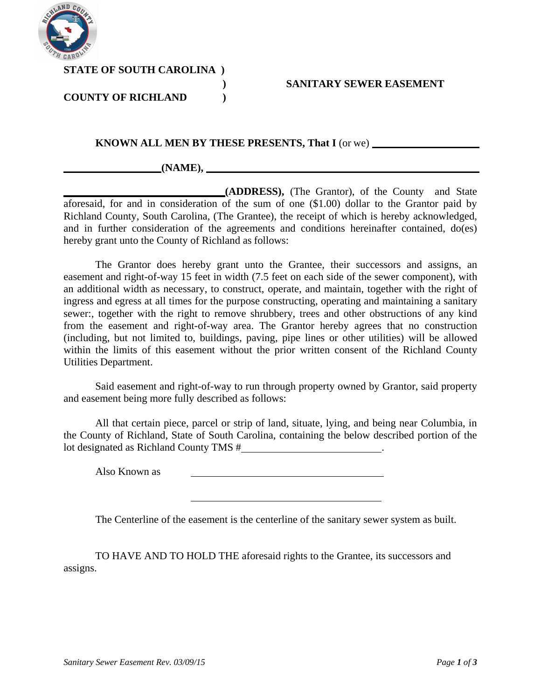

**STATE OF SOUTH CAROLINA )**

## **COUNTY OF RICHLAND )**

### **) SANITARY SEWER EASEMENT**

### **KNOWN ALL MEN BY THESE PRESENTS, That I** (or we)

#### **(NAME),**

**(ADDRESS),** (The Grantor), of the County and State aforesaid, for and in consideration of the sum of one (\$1.00) dollar to the Grantor paid by Richland County, South Carolina, (The Grantee), the receipt of which is hereby acknowledged, and in further consideration of the agreements and conditions hereinafter contained, do(es) hereby grant unto the County of Richland as follows:

The Grantor does hereby grant unto the Grantee, their successors and assigns, an easement and right-of-way 15 feet in width (7.5 feet on each side of the sewer component), with an additional width as necessary, to construct, operate, and maintain, together with the right of ingress and egress at all times for the purpose constructing, operating and maintaining a sanitary sewer:, together with the right to remove shrubbery, trees and other obstructions of any kind from the easement and right-of-way area. The Grantor hereby agrees that no construction (including, but not limited to, buildings, paving, pipe lines or other utilities) will be allowed within the limits of this easement without the prior written consent of the Richland County Utilities Department.

Said easement and right-of-way to run through property owned by Grantor, said property and easement being more fully described as follows:

All that certain piece, parcel or strip of land, situate, lying, and being near Columbia, in the County of Richland, State of South Carolina, containing the below described portion of the lot designated as Richland County TMS  $#$  ...

Also Known as

The Centerline of the easement is the centerline of the sanitary sewer system as built.

TO HAVE AND TO HOLD THE aforesaid rights to the Grantee, its successors and assigns.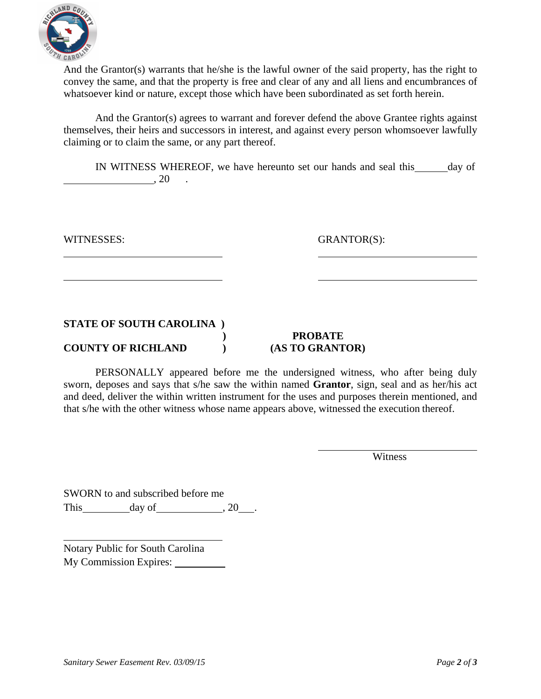

And the Grantor(s) warrants that he/she is the lawful owner of the said property, has the right to convey the same, and that the property is free and clear of any and all liens and encumbrances of whatsoever kind or nature, except those which have been subordinated as set forth herein.

And the Grantor(s) agrees to warrant and forever defend the above Grantee rights against themselves, their heirs and successors in interest, and against every person whomsoever lawfully claiming or to claim the same, or any part thereof.

IN WITNESS WHEREOF, we have hereunto set our hands and seal this day of  $\overline{\phantom{a}}$ , 20

WITNESSES: GRANTOR(S):

## **STATE OF SOUTH CAROLINA )**

**COUNTY OF RICHLAND ) (AS TO GRANTOR)**

# **) PROBATE**

PERSONALLY appeared before me the undersigned witness, who after being duly sworn, deposes and says that s/he saw the within named **Grantor**, sign, seal and as her/his act and deed, deliver the within written instrument for the uses and purposes therein mentioned, and that s/he with the other witness whose name appears above, witnessed the execution thereof.

Witness

SWORN to and subscribed before me This day of , 20 .

Notary Public for South Carolina My Commission Expires: